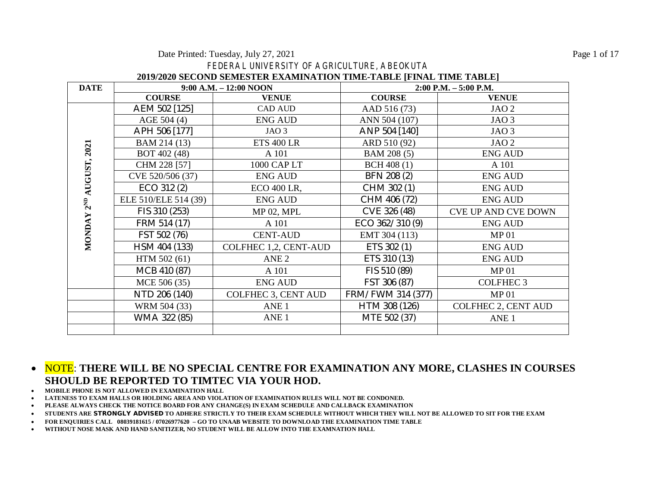Date Printed: Tuesday, July 27, 2021 Page 1 of 17

FEDERAL UNIVERSITY OF AGRICULTURE, ABEOKUTA

| <u> 2019/2020 SECOND SEMESTER EXAMINATION TIME-TADLE [FINAL TIME TADLE]</u> |                      |                            |                   |                            |  |
|-----------------------------------------------------------------------------|----------------------|----------------------------|-------------------|----------------------------|--|
| <b>DATE</b>                                                                 |                      | $9:00$ A.M. $-12:00$ NOON  |                   | $2:00$ P.M. $-5:00$ P.M.   |  |
|                                                                             | <b>COURSE</b>        | <b>VENUE</b>               | <b>COURSE</b>     | <b>VENUE</b>               |  |
|                                                                             | AEM 502 [125]        | <b>CAD AUD</b>             | AAD 516 (73)      | JAO <sub>2</sub>           |  |
|                                                                             | AGE 504 (4)          | <b>ENG AUD</b>             | ANN 504 (107)     | JAO <sub>3</sub>           |  |
|                                                                             | APH 506 [177]        | JAO 3                      | ANP 504 [140]     | JAO <sub>3</sub>           |  |
|                                                                             | BAM 214 (13)         | <b>ETS 400 LR</b>          | ARD 510 (92)      | JAO <sub>2</sub>           |  |
|                                                                             | BOT 402 (48)         | A 101                      | BAM 208 (5)       | <b>ENG AUD</b>             |  |
|                                                                             | CHM 228 [57]         | 1000 CAP LT                | BCH 408 (1)       | A 101                      |  |
|                                                                             | CVE 520/506 (37)     | <b>ENG AUD</b>             | BFN 208 (2)       | <b>ENG AUD</b>             |  |
|                                                                             | ECO 312 (2)          | ECO 400 LR,                | CHM 302 (1)       | <b>ENG AUD</b>             |  |
| 2 <sup>ND</sup> AUGUST, 2021<br><b>NONDAY</b>                               | ELE 510/ELE 514 (39) | <b>ENG AUD</b>             | CHM 406 (72)      | <b>ENG AUD</b>             |  |
|                                                                             | FIS 310 (253)        | <b>MP 02, MPL</b>          | CVE 326 (48)      | <b>CVE UP AND CVE DOWN</b> |  |
|                                                                             | FRM 514 (17)         | A 101                      | ECO 362/310 (9)   | <b>ENG AUD</b>             |  |
|                                                                             | FST 502 (76)         | <b>CENT-AUD</b>            | EMT 304 (113)     | MP <sub>01</sub>           |  |
|                                                                             | HSM 404 (133)        | COLFHEC 1,2, CENT-AUD      | ETS 302 (1)       | <b>ENG AUD</b>             |  |
|                                                                             | HTM 502 (61)         | ANE <sub>2</sub>           | ETS 310 (13)      | <b>ENG AUD</b>             |  |
|                                                                             | MCB 410 (87)         | A 101                      | FIS 510 (89)      | MP <sub>01</sub>           |  |
|                                                                             | MCE 506 (35)         | <b>ENG AUD</b>             | FST 306 (87)      | <b>COLFHEC 3</b>           |  |
|                                                                             | NTD 206 (140)        | <b>COLFHEC 3, CENT AUD</b> | FRM/FWM 314 (377) | MP <sub>01</sub>           |  |
|                                                                             | WRM 504 (33)         | ANE <sub>1</sub>           | HTM 308 (126)     | <b>COLFHEC 2, CENT AUD</b> |  |
|                                                                             | WMA 322 (85)         | ANE <sub>1</sub>           | MTE 502 (37)      | ANE <sub>1</sub>           |  |
|                                                                             |                      |                            |                   |                            |  |

**2019/2020 SECOND SEMESTER EXAMINATION TIME-TABLE [FINAL TIME TABLE]**

- **MOBILE PHONE IS NOT ALLOWED IN EXAMINATION HALL**
- **LATENESS TO EXAM HALLS OR HOLDING AREA AND VIOLATION OF EXAMINATION RULES WILL NOT BE CONDONED.**
- **PLEASE ALWAYS CHECK THE NOTICE BOARD FOR ANY CHANGE(S) IN EXAM SCHEDULE AND CALLBACK EXAMINATION**
- **STUDENTS ARE STRONGLY ADVISED TO ADHERE STRICTLY TO THEIR EXAM SCHEDULE WITHOUT WHICH THEY WILL NOT BE ALLOWED TO SIT FOR THE EXAM**
- **FOR ENQUIRIES CALL 08039181615 / 07026977620 – GO TO UNAAB WEBSITE TO DOWNLOAD THE EXAMINATION TIME TABLE**
- **WITHOUT NOSE MASK AND HAND SANITIZER, NO STUDENT WILL BE ALLOW INTO THE EXAMNATION HALL**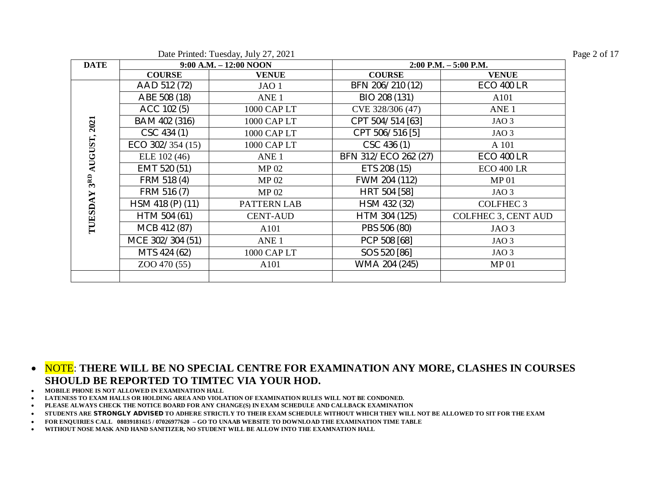|                                      |                           | Date Printed: Tuesday, July 27, 2021 |                          |                            |  |
|--------------------------------------|---------------------------|--------------------------------------|--------------------------|----------------------------|--|
| <b>DATE</b>                          | $9:00$ A.M. $-12:00$ NOON |                                      | $2:00$ P.M. $-5:00$ P.M. |                            |  |
|                                      | <b>COURSE</b>             | <b>VENUE</b>                         | <b>COURSE</b>            | <b>VENUE</b>               |  |
|                                      | AAD 512 (72)              | JAO 1                                | BFN 206/210 (12)         | <b>ECO 400 LR</b>          |  |
|                                      | ABE 508 (18)              | ANE <sub>1</sub>                     | BIO 208 (131)            | A101                       |  |
|                                      | ACC 102 (5)               | 1000 CAP LT                          | CVE 328/306 (47)         | ANE <sub>1</sub>           |  |
| 2021                                 | BAM 402 (316)             | 1000 CAP LT                          | CPT 504/514 [63]         | JAO <sub>3</sub>           |  |
|                                      | CSC 434 (1)               | 1000 CAPLT                           | CPT 506/516 [5]          | JAO <sub>3</sub>           |  |
|                                      | ECO 302/354 (15)          | 1000 CAP LT                          | $CSC$ 436 $(1)$          | A 101                      |  |
| AUGUST<br>3 <sup>RD</sup><br>TUESDAY | ELE 102 (46)              | ANE <sub>1</sub>                     | BFN 312/ECO 262 (27)     | <b>ECO 400 LR</b>          |  |
|                                      | EMT 520 (51)              | MP 02                                | ETS 208 (15)             | <b>ECO 400 LR</b>          |  |
|                                      | FRM 518 (4)               | MP 02                                | FWM 204 (112)            | MP <sub>01</sub>           |  |
|                                      | FRM 516 (7)               | MP 02                                | HRT 504 [58]             | JAO 3                      |  |
|                                      | HSM 418 (P) (11)          | PATTERN LAB                          | HSM 432 (32)             | <b>COLFHEC 3</b>           |  |
|                                      | HTM 504 (61)              | <b>CENT-AUD</b>                      | HTM 304 (125)            | <b>COLFHEC 3, CENT AUD</b> |  |
|                                      | MCB 412 (87)              | A101                                 | PBS 506 (80)             | JAO <sub>3</sub>           |  |
|                                      | MCE 302/304 (51)          | ANE <sub>1</sub>                     | PCP 508 [68]             | JAO <sub>3</sub>           |  |
|                                      | MTS 424 (62)              | 1000 CAPLT                           | SOS 520 [86]             | JAO <sub>3</sub>           |  |
|                                      | ZOO 470 (55)              | A101                                 | WMA 204 (245)            | MP <sub>01</sub>           |  |
|                                      |                           |                                      |                          |                            |  |

- **MOBILE PHONE IS NOT ALLOWED IN EXAMINATION HALL**
- **LATENESS TO EXAM HALLS OR HOLDING AREA AND VIOLATION OF EXAMINATION RULES WILL NOT BE CONDONED.**
- **PLEASE ALWAYS CHECK THE NOTICE BOARD FOR ANY CHANGE(S) IN EXAM SCHEDULE AND CALLBACK EXAMINATION**
- **STUDENTS ARE STRONGLY ADVISED TO ADHERE STRICTLY TO THEIR EXAM SCHEDULE WITHOUT WHICH THEY WILL NOT BE ALLOWED TO SIT FOR THE EXAM**
- **FOR ENQUIRIES CALL 08039181615 / 07026977620 – GO TO UNAAB WEBSITE TO DOWNLOAD THE EXAMINATION TIME TABLE**
- **WITHOUT NOSE MASK AND HAND SANITIZER, NO STUDENT WILL BE ALLOW INTO THE EXAMNATION HALL**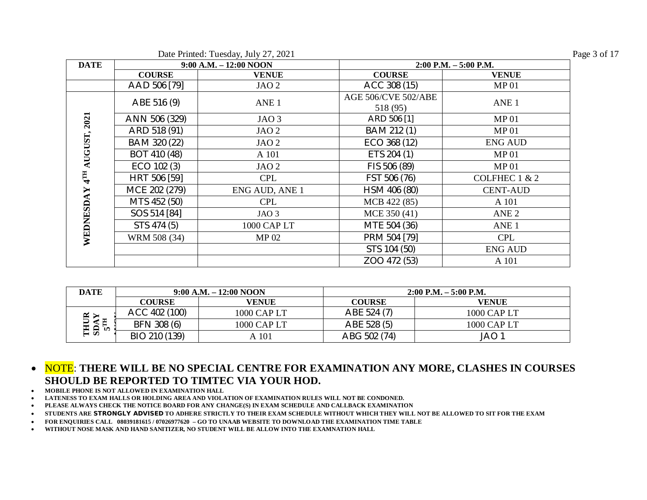|                            |               | Date Printed: Tuesday, July 27, 2021 |                                 |                          | Page 3 of 17 |
|----------------------------|---------------|--------------------------------------|---------------------------------|--------------------------|--------------|
| <b>DATE</b>                |               | $9:00$ A.M. $-12:00$ NOON            |                                 | $2:00$ P.M. $-5:00$ P.M. |              |
|                            | <b>COURSE</b> | <b>VENUE</b>                         | <b>COURSE</b>                   | <b>VENUE</b>             |              |
|                            | AAD 506 [79]  | JAO 2                                | ACC 308 (15)                    | MP <sub>01</sub>         |              |
|                            | ABE 516 (9)   | ANE <sub>1</sub>                     | AGE 506/CVE 502/ABE<br>518 (95) | ANE <sub>1</sub>         |              |
| 2021                       | ANN 506 (329) | JAO <sub>3</sub>                     | ARD 506 [1]                     | <b>MP01</b>              |              |
|                            | ARD 518 (91)  | JAO 2                                | BAM 212 (1)                     | MP <sub>01</sub>         |              |
| AUGUST,<br>$4^{\text{TH}}$ | BAM 320 (22)  | JAO 2                                | ECO 368 (12)                    | <b>ENG AUD</b>           |              |
|                            | BOT 410 (48)  | A 101                                | ETS 204 (1)                     | MP <sub>01</sub>         |              |
|                            | ECO 102 (3)   | JAO <sub>2</sub>                     | FIS 506 (89)                    | MP <sub>01</sub>         |              |
|                            | HRT 506 [59]  | <b>CPL</b>                           | FST 506 (76)                    | COLFHEC $1 & 2$          |              |
|                            | MCE 202 (279) | ENG AUD, ANE 1                       | HSM 406 (80)                    | <b>CENT-AUD</b>          |              |
|                            | MTS 452 (50)  | <b>CPL</b>                           | MCB 422 (85)                    | A 101                    |              |
|                            | SOS 514 [84]  | JAO 3                                | MCE 350 (41)                    | ANE <sub>2</sub>         |              |
| WEDNESDAY                  | STS 474 (5)   | 1000 CAP LT                          | MTE 504 (36)                    | ANE <sub>1</sub>         |              |
|                            | WRM 508 (34)  | MP <sub>02</sub>                     | PRM 504 [79]                    | <b>CPL</b>               |              |
|                            |               |                                      | STS 104 (50)                    | <b>ENG AUD</b>           |              |
|                            |               |                                      | ZOO 472 (53)                    | A 101                    |              |

| <b>DATE</b> | $9:00$ A.M. $-12:00$ NOON |             | $2:00$ P.M. $-5:00$ P.M. |               |
|-------------|---------------------------|-------------|--------------------------|---------------|
|             | <b>COURSE</b>             | VENUE       | <b>COURSE</b>            | <b>VENUE</b>  |
| Z > 1       | ACC 402 (100)             | 1000 CAP LT | ABE 524 (7)              | $1000$ CAP LT |
| ⌒<br>īω     | BFN 308 (6)               | 1000 CAP LT | ABE 528 (5)              | 1000 CAP LT   |
| ដ¤          | BIO 210 (139)             | A 101       | ABG 502 (74)             | JAO           |

- **MOBILE PHONE IS NOT ALLOWED IN EXAMINATION HALL**
- **LATENESS TO EXAM HALLS OR HOLDING AREA AND VIOLATION OF EXAMINATION RULES WILL NOT BE CONDONED.**
- **PLEASE ALWAYS CHECK THE NOTICE BOARD FOR ANY CHANGE(S) IN EXAM SCHEDULE AND CALLBACK EXAMINATION**
- **STUDENTS ARE STRONGLY ADVISED TO ADHERE STRICTLY TO THEIR EXAM SCHEDULE WITHOUT WHICH THEY WILL NOT BE ALLOWED TO SIT FOR THE EXAM**
- **FOR ENQUIRIES CALL 08039181615 / 07026977620 – GO TO UNAAB WEBSITE TO DOWNLOAD THE EXAMINATION TIME TABLE**
- **WITHOUT NOSE MASK AND HAND SANITIZER, NO STUDENT WILL BE ALLOW INTO THE EXAMNATION HALL**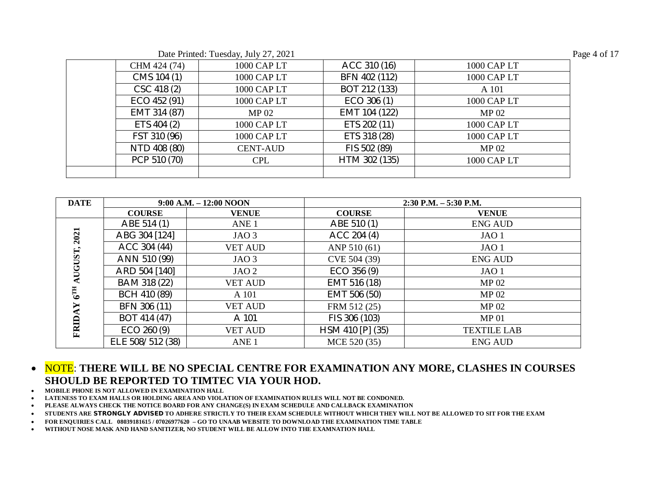Date Printed: Tuesday, July 27, 2021 Page 4 of 17

| CHM 424 (74) | 1000 CAP LT      | ACC 310 (16)    | 1000 CAP LT      |
|--------------|------------------|-----------------|------------------|
| CMS 104 (1)  | 1000 CAP LT      | BFN 402 (112)   | 1000 CAP LT      |
| CSC 418 (2)  | 1000 CAPLT       | BOT 212 (133)   | A 101            |
| ECO 452 (91) | 1000 CAPLT       | $ECO$ 306 $(1)$ | 1000 CAP LT      |
| EMT 314 (87) | MP <sub>02</sub> | EMT 104 (122)   | MP 02            |
| ETS 404 (2)  | 1000 CAP LT      | ETS 202 (11)    | 1000 CAP LT      |
| FST 310 (96) | 1000 CAP LT      | ETS 318 (28)    | 1000 CAP LT      |
| NTD 408 (80) | <b>CENT-AUD</b>  | FIS 502 (89)    | MP <sub>02</sub> |
| PCP 510 (70) | <b>CPL</b>       | HTM 302 (135)   | 1000 CAP LT      |
|              |                  |                 |                  |

| <b>DATE</b>     |                  | $9:00$ A.M. $-12:00$ NOON | $2:30$ P.M. $-5:30$ P.M. |                    |
|-----------------|------------------|---------------------------|--------------------------|--------------------|
|                 | <b>COURSE</b>    | <b>VENUE</b>              | <b>COURSE</b>            | <b>VENUE</b>       |
| 2021            | ABE 514 (1)      | ANE <sub>1</sub>          | ABE 510 (1)              | <b>ENG AUD</b>     |
|                 | ABG 304 [124]    | JAO 3                     | ACC 204 (4)              | JAO <sub>1</sub>   |
|                 | ACC 304 (44)     | <b>VET AUD</b>            | ANP 510 (61)             | JAO <sub>1</sub>   |
|                 | ANN 510 (99)     | JAO <sub>3</sub>          | CVE 504 (39)             | <b>ENG AUD</b>     |
| AUGUST,         | ARD 504 [140]    | JAO <sub>2</sub>          | $ECO$ 356 $(9)$          | JAO <sub>1</sub>   |
|                 | BAM 318 (22)     | <b>VET AUD</b>            | EMT 516 (18)             | MP 02              |
| $6^{\text{TH}}$ | BCH 410 (89)     | A 101                     | EMT 506 (50)             | MP 02              |
|                 | BFN 306 (11)     | <b>VET AUD</b>            | FRM 512 (25)             | MP <sub>02</sub>   |
|                 | BOT 414 (47)     | A 101                     | FIS 306 (103)            | MP <sub>01</sub>   |
| FRIDAY          | ECO 260(9)       | <b>VET AUD</b>            | HSM 410 [P] (35)         | <b>TEXTILE LAB</b> |
|                 | ELE 508/512 (38) | ANE <sub>1</sub>          | MCE 520 (35)             | <b>ENG AUD</b>     |

- **MOBILE PHONE IS NOT ALLOWED IN EXAMINATION HALL**
- **LATENESS TO EXAM HALLS OR HOLDING AREA AND VIOLATION OF EXAMINATION RULES WILL NOT BE CONDONED.**
- **PLEASE ALWAYS CHECK THE NOTICE BOARD FOR ANY CHANGE(S) IN EXAM SCHEDULE AND CALLBACK EXAMINATION**
- **STUDENTS ARE STRONGLY ADVISED TO ADHERE STRICTLY TO THEIR EXAM SCHEDULE WITHOUT WHICH THEY WILL NOT BE ALLOWED TO SIT FOR THE EXAM**
- **FOR ENQUIRIES CALL 08039181615 / 07026977620 – GO TO UNAAB WEBSITE TO DOWNLOAD THE EXAMINATION TIME TABLE**
- **WITHOUT NOSE MASK AND HAND SANITIZER, NO STUDENT WILL BE ALLOW INTO THE EXAMNATION HALL**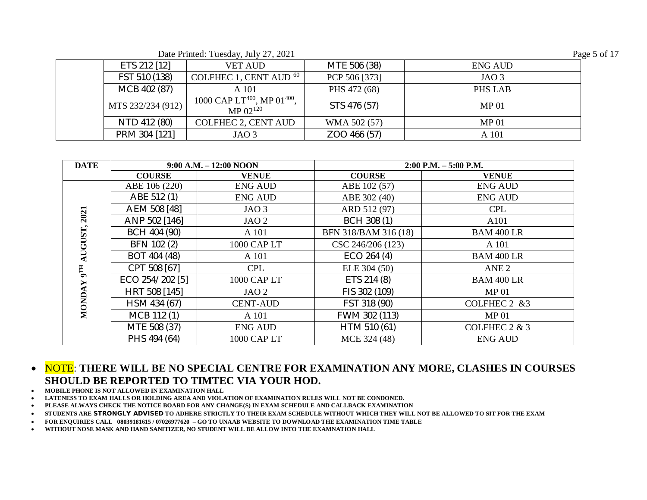| Date Printed: Tuesday, July 27, 2021 | Page 5 of 17 |
|--------------------------------------|--------------|
|                                      |              |

|  | Page 5 of 17 |  |  |  |
|--|--------------|--|--|--|
|--|--------------|--|--|--|

| ETS 212 [12]      | <b>VET AUD</b>                                                       | MTE 506 (38)  | <b>ENG AUD</b>   |
|-------------------|----------------------------------------------------------------------|---------------|------------------|
| FST 510 (138)     | COLFHEC 1, CENT AUD <sup>60</sup>                                    | PCP 506 [373] | JAO <sub>3</sub> |
| MCB 402 (87)      | A 101                                                                | PHS 472 (68)  | PHS LAB          |
| MTS 232/234 (912) | 1000 CAP LT <sup>400</sup> , MP 01 <sup>400</sup> ,<br>MP $02^{120}$ | STS 476 (57)  | MP <sub>01</sub> |
| NTD 412 (80)      | <b>COLFHEC 2, CENT AUD</b>                                           | WMA 502 (57)  | MP <sub>01</sub> |
| PRM 304 [121]     | JAO3                                                                 | ZOO 466 (57)  | A 101            |

| <b>DATE</b>                                | $9:00$ A.M. $-12:00$ NOON |                  | $2:00$ P.M. $-5:00$ P.M. |                   |
|--------------------------------------------|---------------------------|------------------|--------------------------|-------------------|
|                                            | <b>COURSE</b>             | <b>VENUE</b>     | <b>COURSE</b>            | <b>VENUE</b>      |
|                                            | ABE 106 (220)             | <b>ENG AUD</b>   | ABE 102 (57)             | <b>ENG AUD</b>    |
|                                            | ABE 512 (1)               | <b>ENG AUD</b>   | ABE 302 (40)             | <b>ENG AUD</b>    |
| 2021                                       | AEM 508 [48]              | JAO <sub>3</sub> | ARD 512 (97)             | <b>CPL</b>        |
|                                            | ANP 502 [146]             | JAO <sub>2</sub> | BCH 308 (1)              | A101              |
|                                            | BCH 404 (90)              | A 101            | BFN 318/BAM 316 (18)     | <b>BAM 400 LR</b> |
| <b>LSN-50</b><br>$\mathbf{g}^{\mathbf{H}}$ | BFN 102 (2)               | 1000 CAP LT      | CSC 246/206 (123)        | A 101             |
|                                            | BOT 404 (48)              | A 101            | ECO 264(4)               | <b>BAM 400 LR</b> |
|                                            | CPT 508 [67]              | <b>CPL</b>       | ELE 304 (50)             | ANE <sub>2</sub>  |
|                                            | ECO 254/202 [5]           | 1000 CAP LT      | ETS 214 (8)              | <b>BAM 400 LR</b> |
|                                            | HRT 508 [145]             | JAO 2            | FIS 302 (109)            | MP <sub>01</sub>  |
| MOND                                       | HSM 434 (67)              | <b>CENT-AUD</b>  | FST 318 (90)             | COLFHEC 2 &3      |
|                                            | MCB 112(1)                | A 101            | FWM 302 (113)            | MP <sub>01</sub>  |
|                                            | MTE 508 (37)              | <b>ENG AUD</b>   | HTM 510 (61)             | COLFHEC 2 & 3     |
|                                            | PHS 494 (64)              | 1000 CAP LT      | MCE 324 (48)             | <b>ENG AUD</b>    |

- **MOBILE PHONE IS NOT ALLOWED IN EXAMINATION HALL**
- **LATENESS TO EXAM HALLS OR HOLDING AREA AND VIOLATION OF EXAMINATION RULES WILL NOT BE CONDONED.**
- **PLEASE ALWAYS CHECK THE NOTICE BOARD FOR ANY CHANGE(S) IN EXAM SCHEDULE AND CALLBACK EXAMINATION**
- **STUDENTS ARE STRONGLY ADVISED TO ADHERE STRICTLY TO THEIR EXAM SCHEDULE WITHOUT WHICH THEY WILL NOT BE ALLOWED TO SIT FOR THE EXAM**
- **FOR ENQUIRIES CALL 08039181615 / 07026977620 – GO TO UNAAB WEBSITE TO DOWNLOAD THE EXAMINATION TIME TABLE**
- **WITHOUT NOSE MASK AND HAND SANITIZER, NO STUDENT WILL BE ALLOW INTO THE EXAMNATION HALL**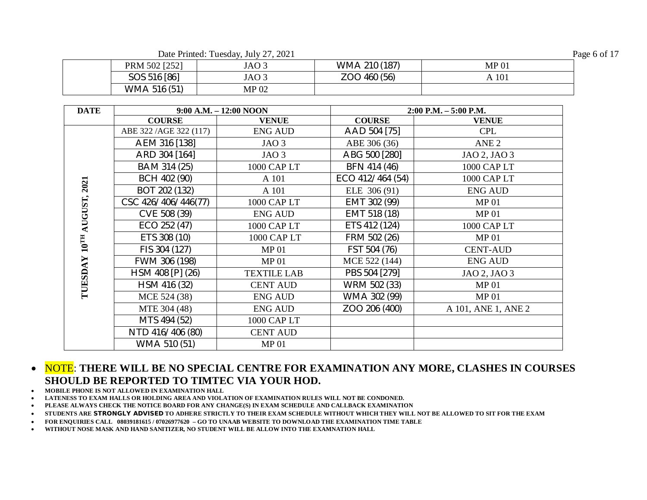Date Printed: Tuesday, July 27, 2021 Page 6 of 17

|                                 |       |                        | $\overline{\phantom{0}}$        |
|---------------------------------|-------|------------------------|---------------------------------|
| 12521<br><b>PRM 502</b><br>ے بے | JAO 3 | WMA 210 (187)          | MP 01                           |
| SOS 516 [86]                    | JAO 3 | 460 (56)<br><b>ZOO</b> | 101<br>$\overline{\phantom{a}}$ |
| WMA 516 (51)                    | MP 02 |                        |                                 |

| <b>DATE</b>   |                         | $9:00$ A.M. $-12:00$ NOON |                  | $2:00$ P.M. $-5:00$ P.M. |  |
|---------------|-------------------------|---------------------------|------------------|--------------------------|--|
|               | <b>COURSE</b>           | <b>VENUE</b>              | <b>COURSE</b>    | <b>VENUE</b>             |  |
|               | ABE 322 / AGE 322 (117) | <b>ENG AUD</b>            | AAD 504 [75]     | <b>CPL</b>               |  |
|               | AEM 316 [138]           | JAO <sub>3</sub>          | ABE 306 (36)     | ANE <sub>2</sub>         |  |
|               | ARD 304 [164]           | JAO <sub>3</sub>          | ABG 500 [280]    | JAO 2, JAO 3             |  |
|               | BAM 314 (25)            | 1000 CAP LT               | BFN 414 (46)     | 1000 CAP LT              |  |
|               | BCH 402 (90)            | A 101                     | ECO 412/464 (54) | 1000 CAPLT               |  |
| 2021          | BOT 202 (132)           | A 101                     | ELE 306 (91)     | <b>ENG AUD</b>           |  |
|               | CSC 426/406/446(77)     | 1000 CAP LT               | EMT 302 (99)     | <b>MP01</b>              |  |
|               | CVE 508 (39)            | <b>ENG AUD</b>            | EMT 518 (18)     | <b>MP01</b>              |  |
| AUGUST,       | ECO 252 (47)            | 1000 CAP LT               | ETS 412 (124)    | 1000 CAP LT              |  |
|               | ETS 308 (10)            | 1000 CAP LT               | FRM 502 (26)     | MP <sub>01</sub>         |  |
| $10^{T\rm H}$ | FIS 304 (127)           | MP <sub>01</sub>          | FST 504 (76)     | <b>CENT-AUD</b>          |  |
|               | FWM 306 (198)           | MP <sub>01</sub>          | MCE 522 (144)    | <b>ENG AUD</b>           |  |
| TUESDAY       | HSM 408 [P] (26)        | <b>TEXTILE LAB</b>        | PBS 504 [279]    | JAO 2, JAO 3             |  |
|               | HSM 416 (32)            | <b>CENT AUD</b>           | WRM 502 (33)     | <b>MP01</b>              |  |
|               | MCE 524 (38)            | <b>ENG AUD</b>            | WMA 302 (99)     | <b>MP01</b>              |  |
|               | MTE 304 (48)            | <b>ENG AUD</b>            | ZOO 206 (400)    | A 101, ANE 1, ANE 2      |  |
|               | MTS 494 (52)            | 1000 CAP LT               |                  |                          |  |
|               | NTD 416/406 (80)        | <b>CENT AUD</b>           |                  |                          |  |
|               | WMA 510 (51)            | <b>MP01</b>               |                  |                          |  |

- **MOBILE PHONE IS NOT ALLOWED IN EXAMINATION HALL**
- **LATENESS TO EXAM HALLS OR HOLDING AREA AND VIOLATION OF EXAMINATION RULES WILL NOT BE CONDONED.**
- **PLEASE ALWAYS CHECK THE NOTICE BOARD FOR ANY CHANGE(S) IN EXAM SCHEDULE AND CALLBACK EXAMINATION**
- **STUDENTS ARE STRONGLY ADVISED TO ADHERE STRICTLY TO THEIR EXAM SCHEDULE WITHOUT WHICH THEY WILL NOT BE ALLOWED TO SIT FOR THE EXAM**
- **FOR ENQUIRIES CALL 08039181615 / 07026977620 – GO TO UNAAB WEBSITE TO DOWNLOAD THE EXAMINATION TIME TABLE**
- **WITHOUT NOSE MASK AND HAND SANITIZER, NO STUDENT WILL BE ALLOW INTO THE EXAMNATION HALL**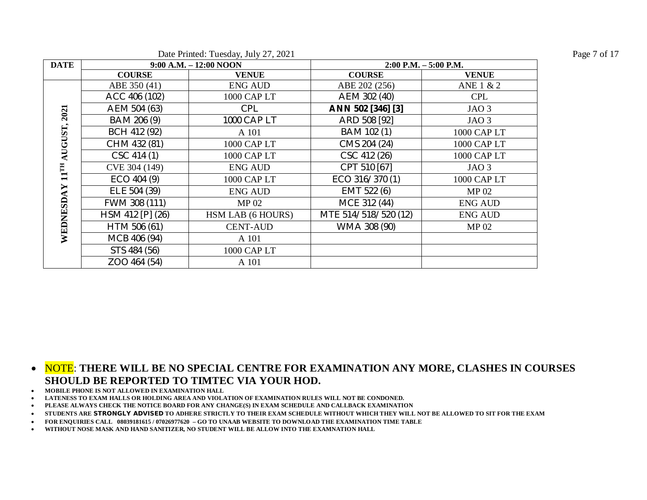| <b>DATE</b> |                  | 9:00 A.M. - 12:00 NOON |                      | $2:00$ P.M. $-5:00$ P.M. |
|-------------|------------------|------------------------|----------------------|--------------------------|
|             | <b>COURSE</b>    | <b>VENUE</b>           | <b>COURSE</b>        | <b>VENUE</b>             |
|             | ABE 350 (41)     | <b>ENG AUD</b>         | ABE 202 (256)        | ANE 1 & 2                |
|             | ACC 406 (102)    | 1000 CAP LT            | AEM 302 (40)         | <b>CPL</b>               |
| 2021        | AEM 504 (63)     | <b>CPL</b>             | ANN 502 [346] [3]    | JAO <sub>3</sub>         |
|             | BAM 206 (9)      | 1000 CAP LT            | ARD 508 [92]         | JAO <sub>3</sub>         |
|             | BCH 412 (92)     | A 101                  | BAM 102 (1)          | 1000 CAP LT              |
| AUGUST      | CHM 432 (81)     | 1000 CAP LT            | CMS 204 (24)         | 1000 CAP LT              |
|             | CSC 414 (1)      | 1000 CAP LT            | CSC 412 (26)         | 1000 CAP LT              |
| $11$ TH     | CVE 304 (149)    | <b>ENG AUD</b>         | CPT 510 [67]         | JAO <sub>3</sub>         |
|             | $ECO$ 404 (9)    | 1000 CAP LT            | ECO 316/370 (1)      | 1000 CAP LT              |
|             | ELE 504 (39)     | <b>ENG AUD</b>         | EMT 522 (6)          | MP <sub>02</sub>         |
|             | FWM 308 (111)    | MP 02                  | MCE 312 (44)         | <b>ENG AUD</b>           |
| WEDNESDA    | HSM 412 [P] (26) | HSM LAB (6 HOURS)      | MTE 514/518/520 (12) | <b>ENG AUD</b>           |
|             | HTM 506 (61)     | <b>CENT-AUD</b>        | WMA 308 (90)         | MP 02                    |
|             | MCB 406 (94)     | A 101                  |                      |                          |
|             | STS 484 (56)     | 1000 CAP LT            |                      |                          |
|             | ZOO 464 (54)     | A 101                  |                      |                          |

Date Printed: Tuesday, July 27, 2021 Page 7 of 17

 NOTE: **THERE WILL BE NO SPECIAL CENTRE FOR EXAMINATION ANY MORE, CLASHES IN COURSES SHOULD BE REPORTED TO TIMTEC VIA YOUR HOD.**

**MOBILE PHONE IS NOT ALLOWED IN EXAMINATION HALL**

**LATENESS TO EXAM HALLS OR HOLDING AREA AND VIOLATION OF EXAMINATION RULES WILL NOT BE CONDONED.**

**PLEASE ALWAYS CHECK THE NOTICE BOARD FOR ANY CHANGE(S) IN EXAM SCHEDULE AND CALLBACK EXAMINATION**

**STUDENTS ARE STRONGLY ADVISED TO ADHERE STRICTLY TO THEIR EXAM SCHEDULE WITHOUT WHICH THEY WILL NOT BE ALLOWED TO SIT FOR THE EXAM**

**FOR ENQUIRIES CALL 08039181615 / 07026977620 – GO TO UNAAB WEBSITE TO DOWNLOAD THE EXAMINATION TIME TABLE**

**WITHOUT NOSE MASK AND HAND SANITIZER, NO STUDENT WILL BE ALLOW INTO THE EXAMNATION HALL**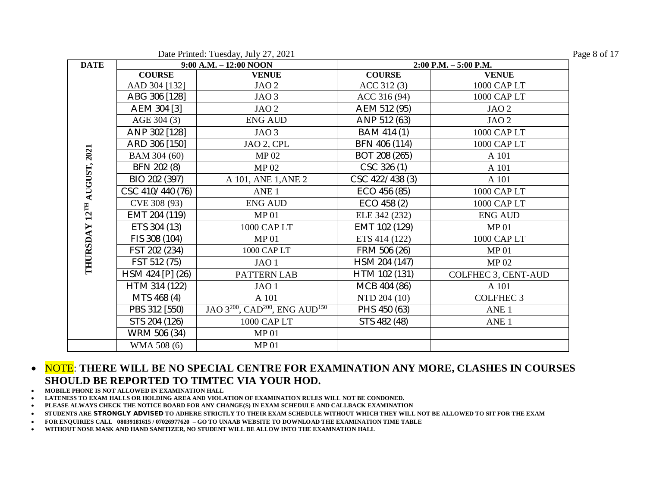|                  |                  | Date Printed: Tuesday, July 27, 2021                               |                 |                            | Page 8 of 17 |
|------------------|------------------|--------------------------------------------------------------------|-----------------|----------------------------|--------------|
| <b>DATE</b>      |                  | 9:00 A.M. - 12:00 NOON                                             |                 | 2:00 P.M. - 5:00 P.M.      |              |
|                  | <b>COURSE</b>    | <b>VENUE</b>                                                       | <b>COURSE</b>   | <b>VENUE</b>               |              |
|                  | AAD 304 [132]    | JAO <sub>2</sub>                                                   | ACC 312 (3)     | 1000 CAP LT                |              |
|                  | ABG 306 [128]    | JAO <sub>3</sub>                                                   | ACC 316 (94)    | 1000 CAP LT                |              |
|                  | AEM 304 [3]      | JAO <sub>2</sub>                                                   | AEM 512 (95)    | JAO <sub>2</sub>           |              |
|                  | AGE 304 (3)      | <b>ENG AUD</b>                                                     | ANP 512 (63)    | JAO <sub>2</sub>           |              |
|                  | ANP 302 [128]    | JAO <sub>3</sub>                                                   | BAM 414 (1)     | 1000 CAP LT                |              |
|                  | ARD 306 [150]    | JAO 2, CPL                                                         | BFN 406 (114)   | 1000 CAP LT                |              |
|                  | BAM 304 (60)     | <b>MP02</b>                                                        | BOT 208 (265)   | A 101                      |              |
|                  | BFN 202 (8)      | MP <sub>02</sub>                                                   | CSC 326 (1)     | A 101                      |              |
| UGUST, 2021      | BIO 202 (397)    | A 101, ANE 1, ANE 2                                                | CSC 422/438 (3) | A 101                      |              |
| ≺                | CSC 410/440 (76) | ANE <sub>1</sub>                                                   | ECO 456 (85)    | 1000 CAP LT                |              |
|                  | CVE 308 (93)     | <b>ENG AUD</b>                                                     | $ECO$ 458 $(2)$ | 1000 CAP LT                |              |
| $12^{\text{TH}}$ | EMT 204 (119)    | MP <sub>01</sub>                                                   | ELE 342 (232)   | <b>ENG AUD</b>             |              |
|                  | ETS 304 (13)     | 1000 CAP LT                                                        | EMT 102 (129)   | MP <sub>01</sub>           |              |
| THURSDA          | FIS 308 (104)    | MP <sub>01</sub>                                                   | ETS 414 (122)   | 1000 CAP LT                |              |
|                  | FST 202 (234)    | 1000 CAP LT                                                        | FRM 506 (26)    | <b>MP01</b>                |              |
|                  | FST 512 (75)     | JAO 1                                                              | HSM 204 (147)   | MP 02                      |              |
|                  | HSM 424 [P] (26) | PATTERN LAB                                                        | HTM 102 (131)   | <b>COLFHEC 3, CENT-AUD</b> |              |
|                  | HTM 314 (122)    | JAO <sub>1</sub>                                                   | MCB 404 (86)    | A 101                      |              |
|                  | MTS 468 (4)      | A 101                                                              | NTD 204 (10)    | <b>COLFHEC 3</b>           |              |
|                  | PBS 312 [550)    | JAO 3 <sup>200</sup> , CAD <sup>200</sup> , ENG AUD <sup>150</sup> | PHS 450 (63)    | ANE <sub>1</sub>           |              |
|                  | STS 204 (126)    | 1000 CAPLT                                                         | STS 482 (48)    | ANE <sub>1</sub>           |              |
|                  | WRM 506 (34)     | MP <sub>01</sub>                                                   |                 |                            |              |
|                  | WMA 508 (6)      | MP <sub>01</sub>                                                   |                 |                            |              |

- **MOBILE PHONE IS NOT ALLOWED IN EXAMINATION HALL**
- **LATENESS TO EXAM HALLS OR HOLDING AREA AND VIOLATION OF EXAMINATION RULES WILL NOT BE CONDONED.**
- **PLEASE ALWAYS CHECK THE NOTICE BOARD FOR ANY CHANGE(S) IN EXAM SCHEDULE AND CALLBACK EXAMINATION**
- **STUDENTS ARE STRONGLY ADVISED TO ADHERE STRICTLY TO THEIR EXAM SCHEDULE WITHOUT WHICH THEY WILL NOT BE ALLOWED TO SIT FOR THE EXAM**
- **FOR ENQUIRIES CALL 08039181615 / 07026977620 – GO TO UNAAB WEBSITE TO DOWNLOAD THE EXAMINATION TIME TABLE**
- **WITHOUT NOSE MASK AND HAND SANITIZER, NO STUDENT WILL BE ALLOW INTO THE EXAMNATION HALL**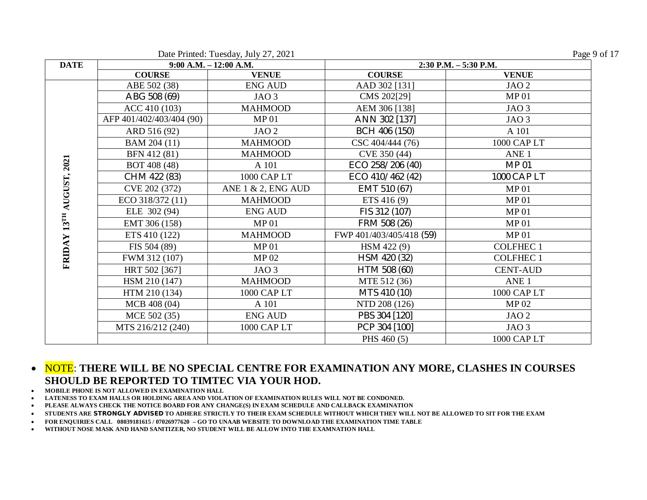|                  |                          | Date Printed: Tuesday, July 27, 2021 |                          | Page 9 of 17          |
|------------------|--------------------------|--------------------------------------|--------------------------|-----------------------|
| <b>DATE</b>      |                          | $9:00$ A.M. $-12:00$ A.M.            |                          | 2:30 P.M. - 5:30 P.M. |
|                  | <b>COURSE</b>            | <b>VENUE</b>                         | <b>COURSE</b>            | <b>VENUE</b>          |
|                  | ABE 502 (38)             | <b>ENG AUD</b>                       | AAD 302 [131]            | JAO <sub>2</sub>      |
|                  | ABG 508 (69)             | JAO <sub>3</sub>                     | CMS 202[29]              | MP <sub>01</sub>      |
|                  | ACC 410 (103)            | <b>MAHMOOD</b>                       | AEM 306 [138]            | JAO <sub>3</sub>      |
|                  | AFP 401/402/403/404 (90) | MP <sub>01</sub>                     | ANN 302 [137]            | JAO <sub>3</sub>      |
|                  | ARD 516 (92)             | JAO <sub>2</sub>                     | BCH 406 (150)            | A 101                 |
|                  | BAM 204 (11)             | <b>MAHMOOD</b>                       | CSC 404/444 (76)         | 1000 CAP LT           |
|                  | BFN 412 (81)             | <b>MAHMOOD</b>                       | CVE 350 (44)             | ANE <sub>1</sub>      |
|                  | BOT 408 (48)             | A 101                                | ECO 258/206 (40)         | <b>MP01</b>           |
| AUGUST, 2021     | CHM 422 (83)             | 1000 CAP LT                          | ECO 410/462 (42)         | 1000 CAP LT           |
|                  | CVE 202 (372)            | ANE $1 \& 2$ , ENG AUD               | EMT 510 (67)             | MP <sub>01</sub>      |
|                  | ECO 318/372 (11)         | <b>MAHMOOD</b>                       | ETS 416 (9)              | MP <sub>01</sub>      |
|                  | ELE 302 (94)             | <b>ENG AUD</b>                       | FIS 312 (107)            | <b>MP01</b>           |
| $13^{\text{TH}}$ | EMT 306 (158)            | MP <sub>01</sub>                     | FRM 508 (26)             | MP <sub>01</sub>      |
|                  | ETS 410 (122)            | <b>MAHMOOD</b>                       | FWP 401/403/405/418 (59) | MP <sub>01</sub>      |
|                  | FIS 504 (89)             | MP <sub>01</sub>                     | HSM 422 (9)              | <b>COLFHEC1</b>       |
| FRIDAY           | FWM 312 (107)            | MP <sub>02</sub>                     | HSM 420 (32)             | <b>COLFHEC1</b>       |
|                  | HRT 502 [367]            | JAO <sub>3</sub>                     | HTM 508 (60)             | <b>CENT-AUD</b>       |
|                  | HSM 210 (147)            | <b>MAHMOOD</b>                       | MTE 512 (36)             | ANE <sub>1</sub>      |
|                  | HTM 210 (134)            | 1000 CAP LT                          | MTS 410 (10)             | 1000 CAP LT           |
|                  | MCB 408 (04)             | A 101                                | NTD 208 (126)            | <b>MP02</b>           |
|                  | MCE 502 (35)             | <b>ENG AUD</b>                       | PBS 304 [120]            | JAO <sub>2</sub>      |
|                  | MTS 216/212 (240)        | 1000 CAP LT                          | PCP 304 [100]            | JAO <sub>3</sub>      |
|                  |                          |                                      | PHS 460 (5)              | 1000 CAP LT           |

- **MOBILE PHONE IS NOT ALLOWED IN EXAMINATION HALL**
- **LATENESS TO EXAM HALLS OR HOLDING AREA AND VIOLATION OF EXAMINATION RULES WILL NOT BE CONDONED.**
- **PLEASE ALWAYS CHECK THE NOTICE BOARD FOR ANY CHANGE(S) IN EXAM SCHEDULE AND CALLBACK EXAMINATION**
- **STUDENTS ARE STRONGLY ADVISED TO ADHERE STRICTLY TO THEIR EXAM SCHEDULE WITHOUT WHICH THEY WILL NOT BE ALLOWED TO SIT FOR THE EXAM**
- **FOR ENQUIRIES CALL 08039181615 / 07026977620 – GO TO UNAAB WEBSITE TO DOWNLOAD THE EXAMINATION TIME TABLE**
- **WITHOUT NOSE MASK AND HAND SANITIZER, NO STUDENT WILL BE ALLOW INTO THE EXAMNATION HALL**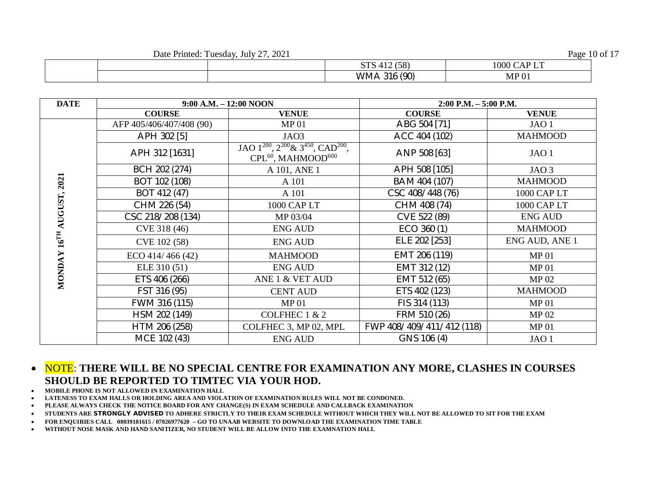Date Printed: Tuesday, July 27, 2021 Page 10 of 17

|  | $\sim$ m $\sim$<br>(50)<br>۰ ەد.<br>ນ 1 ນ | . <del>.</del> .<br>0 <sup>0</sup> |
|--|-------------------------------------------|------------------------------------|
|  | (90)<br><b>WMA</b><br>- 11<br>$\cdot$     | MP <sup>o</sup>                    |

| <b>DATE</b>      | 9:00 A.M. - 12:00 NOON   |                                                                                                            | $2:00$ P.M. $-5:00$ P.M.  |                  |  |
|------------------|--------------------------|------------------------------------------------------------------------------------------------------------|---------------------------|------------------|--|
|                  | <b>COURSE</b>            | <b>VENUE</b>                                                                                               | <b>COURSE</b>             | <b>VENUE</b>     |  |
|                  | AFP 405/406/407/408 (90) | MP <sub>01</sub>                                                                                           | ABG 504 [71]              | JAO <sub>1</sub> |  |
|                  | APH 302 [5]              | JAO3                                                                                                       | ACC 404 (102)             | <b>MAHMOOD</b>   |  |
|                  | APH 312 [1631]           | JAO $1^{200}$ , $2^{200}$ & $3^{450}$ , CAD <sup>200</sup> ,<br>CPL <sup>60</sup> , MAHMOOD <sup>600</sup> | ANP 508 [63]              | JAO <sub>1</sub> |  |
|                  | BCH 202 (274)            | A 101, ANE 1                                                                                               | APH 508 [105]             | JAO <sub>3</sub> |  |
|                  | BOT 102 (108)            | A 101                                                                                                      | BAM 404 (107)             | <b>MAHMOOD</b>   |  |
| AUGUST, 2021     | BOT 412 (47)             | A 101                                                                                                      | CSC 408/448 (76)          | 1000 CAP LT      |  |
|                  | CHM 226 (54)             | 1000 CAP LT                                                                                                | CHM 408 (74)              | 1000 CAP LT      |  |
|                  | CSC 218/208 (134)        | MP 03/04                                                                                                   | CVE 522 (89)              | <b>ENG AUD</b>   |  |
|                  | CVE 318 (46)             | <b>ENG AUD</b>                                                                                             | $ECO$ 360 $(1)$           | <b>MAHMOOD</b>   |  |
| $16^{\text{TH}}$ | CVE 102 (58)             | <b>ENG AUD</b>                                                                                             | ELE 202 [253]             | ENG AUD, ANE 1   |  |
| <b>MONDAY</b>    | $ECO$ 414/466 (42)       | <b>MAHMOOD</b>                                                                                             | EMT 206 (119)             | MP <sub>01</sub> |  |
|                  | ELE 310 (51)             | <b>ENG AUD</b>                                                                                             | EMT 312 (12)              | <b>MP01</b>      |  |
|                  | ETS 406 (266)            | ANE 1 & VET AUD                                                                                            | EMT 512 (65)              | MP 02            |  |
|                  | FST 316 (95)             | <b>CENT AUD</b>                                                                                            | ETS 402 (123)             | <b>MAHMOOD</b>   |  |
|                  | FWM 316 (115)            | MP <sub>01</sub>                                                                                           | FIS 314 (113)             | <b>MP01</b>      |  |
|                  | HSM 202 (149)            | COLFHEC 1 & 2                                                                                              | FRM 510 (26)              | MP 02            |  |
|                  | HTM 206 (258)            | COLFHEC 3, MP 02, MPL                                                                                      | FWP 408/409/411/412 (118) | <b>MP01</b>      |  |
|                  | MCE 102 (43)             | <b>ENG AUD</b>                                                                                             | GNS 106 (4)               | JAO <sub>1</sub> |  |

- **MOBILE PHONE IS NOT ALLOWED IN EXAMINATION HALL**
- **LATENESS TO EXAM HALLS OR HOLDING AREA AND VIOLATION OF EXAMINATION RULES WILL NOT BE CONDONED.**
- **PLEASE ALWAYS CHECK THE NOTICE BOARD FOR ANY CHANGE(S) IN EXAM SCHEDULE AND CALLBACK EXAMINATION**
- **STUDENTS ARE STRONGLY ADVISED TO ADHERE STRICTLY TO THEIR EXAM SCHEDULE WITHOUT WHICH THEY WILL NOT BE ALLOWED TO SIT FOR THE EXAM**
- **FOR ENQUIRIES CALL 08039181615 / 07026977620 – GO TO UNAAB WEBSITE TO DOWNLOAD THE EXAMINATION TIME TABLE**
- **WITHOUT NOSE MASK AND HAND SANITIZER, NO STUDENT WILL BE ALLOW INTO THE EXAMNATION HALL**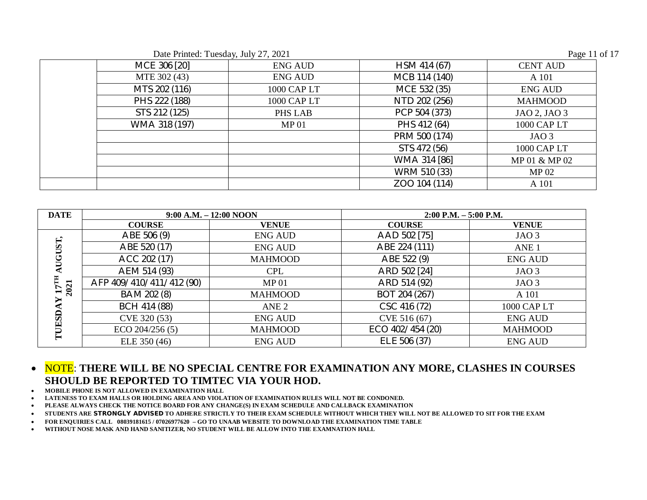| Date Printed: Tuesday, July 27, 2021 | Page 11 of 17 |
|--------------------------------------|---------------|
|                                      |               |

| MCE 306 [20]  | <b>ENG AUD</b>   | HSM 414 (67)  | <b>CENT AUD</b>  |
|---------------|------------------|---------------|------------------|
| MTE 302 (43)  | <b>ENG AUD</b>   | MCB 114 (140) | A 101            |
| MTS 202 (116) | 1000 CAP LT      | MCE 532 (35)  | <b>ENG AUD</b>   |
| PHS 222 (188) | 1000 CAP LT      | NTD 202 (256) | <b>MAHMOOD</b>   |
| STS 212 (125) | PHS LAB          | PCP 504 (373) | JAO 2, JAO 3     |
| WMA 318 (197) | MP <sub>01</sub> | PHS 412 (64)  | 1000 CAP LT      |
|               |                  | PRM 500 (174) | JAO <sub>3</sub> |
|               |                  | STS 472 (56)  | 1000 CAP LT      |
|               |                  | WMA 314 [86]  | MP 01 & MP 02    |
|               |                  | WRM 510 (33)  | MP 02            |
|               |                  | ZOO 104 (114) | A 101            |

| <b>DATE</b> |                          | $9:00$ A.M. $-12:00$ NOON |                  | $2:00$ P.M. $-5:00$ P.M. |
|-------------|--------------------------|---------------------------|------------------|--------------------------|
|             | <b>COURSE</b>            | <b>VENUE</b>              | <b>COURSE</b>    | <b>VENUE</b>             |
|             | ABE 506 (9)              | <b>ENG AUD</b>            | AAD 502 [75]     | JAO <sub>3</sub>         |
|             | ABE 520 (17)             | <b>ENG AUD</b>            | ABE 224 (111)    | ANE <sub>1</sub>         |
| AUGUST,     | ACC 202 (17)             | <b>MAHMOOD</b>            | ABE 522 (9)      | <b>ENG AUD</b>           |
|             | AEM 514 (93)             | <b>CPL</b>                | ARD 502 [24]     | JAO <sub>3</sub>         |
| 2021        | AFP 409/410/411/412 (90) | MP <sub>01</sub>          | ARD 514 (92)     | JAO <sub>3</sub>         |
|             | BAM 202 (8)              | <b>MAHMOOD</b>            | BOT 204 (267)    | A 101                    |
|             | BCH 414 (88)             | ANE <sub>2</sub>          | CSC 416 (72)     | 1000 CAPLT               |
|             | CVE 320 (53)             | <b>ENG AUD</b>            | CVE 516 (67)     | <b>ENG AUD</b>           |
| TUESD       | $ECO$ 204/256 (5)        | <b>MAHMOOD</b>            | ECO 402/454 (20) | <b>MAHMOOD</b>           |
|             | ELE 350 (46)             | <b>ENG AUD</b>            | ELE 506 (37)     | <b>ENG AUD</b>           |

- **MOBILE PHONE IS NOT ALLOWED IN EXAMINATION HALL**
- **LATENESS TO EXAM HALLS OR HOLDING AREA AND VIOLATION OF EXAMINATION RULES WILL NOT BE CONDONED.**
- **PLEASE ALWAYS CHECK THE NOTICE BOARD FOR ANY CHANGE(S) IN EXAM SCHEDULE AND CALLBACK EXAMINATION**
- **STUDENTS ARE STRONGLY ADVISED TO ADHERE STRICTLY TO THEIR EXAM SCHEDULE WITHOUT WHICH THEY WILL NOT BE ALLOWED TO SIT FOR THE EXAM**
- **FOR ENQUIRIES CALL 08039181615 / 07026977620 – GO TO UNAAB WEBSITE TO DOWNLOAD THE EXAMINATION TIME TABLE**
- **WITHOUT NOSE MASK AND HAND SANITIZER, NO STUDENT WILL BE ALLOW INTO THE EXAMNATION HALL**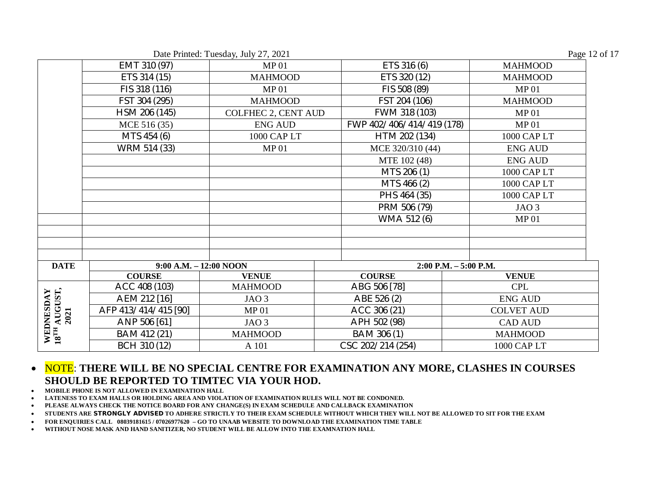|  | Date Printed: Tuesday, July 27, 2021 |  |  |
|--|--------------------------------------|--|--|
|  |                                      |  |  |

|                                               |                           | Date Printed: Tuesday, July 27, 2021 |                           | Page 12 of 17         |
|-----------------------------------------------|---------------------------|--------------------------------------|---------------------------|-----------------------|
|                                               | EMT 310 (97)              | MP <sub>01</sub>                     | ETS 316 (6)               | <b>MAHMOOD</b>        |
|                                               | ETS 314 (15)              | <b>MAHMOOD</b>                       | ETS 320 (12)              | <b>MAHMOOD</b>        |
|                                               | FIS 318 (116)             | <b>MP01</b>                          | FIS 508 (89)              | MP <sub>01</sub>      |
|                                               | FST 304 (295)             | <b>MAHMOOD</b>                       | FST 204 (106)             | <b>MAHMOOD</b>        |
|                                               | HSM 206 (145)             | <b>COLFHEC 2, CENT AUD</b>           | FWM 318 (103)             | <b>MP01</b>           |
|                                               | MCE 516 (35)              | <b>ENG AUD</b>                       | FWP 402/406/414/419 (178) | MP <sub>01</sub>      |
|                                               | MTS 454 (6)               | 1000 CAP LT                          | HTM 202 (134)             | 1000 CAP LT           |
|                                               | WRM 514 (33)              | MP <sub>01</sub>                     | MCE 320/310 (44)          | <b>ENG AUD</b>        |
|                                               |                           |                                      | MTE 102 (48)              | <b>ENG AUD</b>        |
|                                               |                           |                                      | MTS 206 (1)               | 1000 CAP LT           |
|                                               |                           |                                      | MTS 466 (2)               | 1000 CAP LT           |
|                                               |                           |                                      | PHS 464 (35)              | 1000 CAP LT           |
|                                               |                           |                                      | PRM 506 (79)              | JAO <sub>3</sub>      |
|                                               |                           |                                      | WMA 512 (6)               | MP <sub>01</sub>      |
|                                               |                           |                                      |                           |                       |
|                                               |                           |                                      |                           |                       |
| <b>DATE</b>                                   | $9:00$ A.M. $-12:00$ NOON |                                      |                           | 2:00 P.M. - 5:00 P.M. |
|                                               | <b>COURSE</b>             | <b>VENUE</b>                         | <b>COURSE</b>             | <b>VENUE</b>          |
|                                               | ACC 408 (103)             | <b>MAHMOOD</b>                       | ABG 506 [78]              | <b>CPL</b>            |
|                                               | AEM 212 [16]              | JAO <sub>3</sub>                     | ABE 526 (2)               | <b>ENG AUD</b>        |
|                                               | AFP 413/414/415 [90]      | MP <sub>01</sub>                     | ACC 306 (21)              | <b>COLVET AUD</b>     |
|                                               | ANP 506 [61]              | JAO <sub>3</sub>                     | APH 502 (98)              | <b>CAD AUD</b>        |
| WEDNESDAY<br>18 <sup>TH</sup> AUGUST,<br>2021 | BAM 412 (21)              | <b>MAHMOOD</b>                       | BAM 306 (1)               | <b>MAHMOOD</b>        |
|                                               | BCH 310 (12)              | A 101                                | CSC 202/214 (254)         | 1000 CAP LT           |

- **MOBILE PHONE IS NOT ALLOWED IN EXAMINATION HALL**
- **LATENESS TO EXAM HALLS OR HOLDING AREA AND VIOLATION OF EXAMINATION RULES WILL NOT BE CONDONED.**
- **PLEASE ALWAYS CHECK THE NOTICE BOARD FOR ANY CHANGE(S) IN EXAM SCHEDULE AND CALLBACK EXAMINATION**
- **STUDENTS ARE STRONGLY ADVISED TO ADHERE STRICTLY TO THEIR EXAM SCHEDULE WITHOUT WHICH THEY WILL NOT BE ALLOWED TO SIT FOR THE EXAM**
- **FOR ENQUIRIES CALL 08039181615 / 07026977620 – GO TO UNAAB WEBSITE TO DOWNLOAD THE EXAMINATION TIME TABLE**
- **WITHOUT NOSE MASK AND HAND SANITIZER, NO STUDENT WILL BE ALLOW INTO THE EXAMNATION HALL**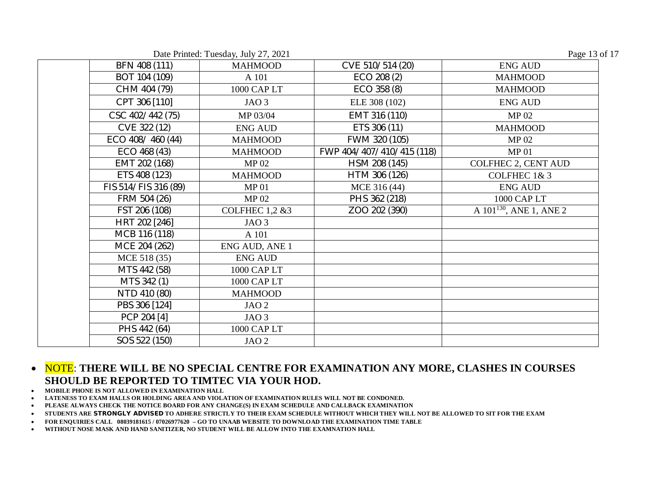| Date Printed: Tuesday, July 27, 2021 |
|--------------------------------------|
|--------------------------------------|

|                      | Date Printed: Tuesday, July 27, 2021 |                           | Page 13 of 17                |
|----------------------|--------------------------------------|---------------------------|------------------------------|
| BFN 408 (111)        | <b>MAHMOOD</b>                       | CVE 510/514 (20)          | <b>ENG AUD</b>               |
| BOT 104 (109)        | A 101                                | ECO 208 (2)               | <b>MAHMOOD</b>               |
| CHM 404 (79)         | 1000 CAP LT                          | ECO 358 (8)               | <b>MAHMOOD</b>               |
| CPT 306 [110]        | JAO <sub>3</sub>                     | ELE 308 (102)             | <b>ENG AUD</b>               |
| CSC 402/442 (75)     | MP 03/04                             | EMT 316 (110)             | MP 02                        |
| CVE 322 (12)         | <b>ENG AUD</b>                       | ETS 306 (11)              | <b>MAHMOOD</b>               |
| ECO 408/460 (44)     | <b>MAHMOOD</b>                       | FWM 320 (105)             | MP 02                        |
| ECO 468 (43)         | <b>MAHMOOD</b>                       | FWP 404/407/410/415 (118) | <b>MP01</b>                  |
| EMT 202 (168)        | MP <sub>02</sub>                     | HSM 208 (145)             | <b>COLFHEC 2, CENT AUD</b>   |
| ETS 408 (123)        | <b>MAHMOOD</b>                       | HTM 306 (126)             | COLFHEC 1&3                  |
| FIS 514/FIS 316 (89) | MP <sub>01</sub>                     | MCE 316 (44)              | <b>ENG AUD</b>               |
| FRM 504 (26)         | MP 02                                | PHS 362 (218)             | 1000 CAP LT                  |
| FST 206 (108)        | <b>COLFHEC 1,2 &amp;3</b>            | ZOO 202 (390)             | A $101^{130}$ , ANE 1, ANE 2 |
| HRT 202 [246]        | JAO <sub>3</sub>                     |                           |                              |
| MCB 116 (118)        | A 101                                |                           |                              |
| MCE 204 (262)        | ENG AUD, ANE 1                       |                           |                              |
| MCE 518 (35)         | <b>ENG AUD</b>                       |                           |                              |
| MTS 442 (58)         | 1000 CAP LT                          |                           |                              |
| MTS 342 (1)          | 1000 CAP LT                          |                           |                              |
| NTD 410 (80)         | <b>MAHMOOD</b>                       |                           |                              |
| PBS 306 [124]        | JAO <sub>2</sub>                     |                           |                              |
| PCP 204 [4]          | JAO <sub>3</sub>                     |                           |                              |
| PHS 442 (64)         | 1000 CAP LT                          |                           |                              |
| SOS 522 (150)        | JAO <sub>2</sub>                     |                           |                              |
|                      |                                      |                           |                              |

- **MOBILE PHONE IS NOT ALLOWED IN EXAMINATION HALL**
- **LATENESS TO EXAM HALLS OR HOLDING AREA AND VIOLATION OF EXAMINATION RULES WILL NOT BE CONDONED.**
- **PLEASE ALWAYS CHECK THE NOTICE BOARD FOR ANY CHANGE(S) IN EXAM SCHEDULE AND CALLBACK EXAMINATION**
- **STUDENTS ARE STRONGLY ADVISED TO ADHERE STRICTLY TO THEIR EXAM SCHEDULE WITHOUT WHICH THEY WILL NOT BE ALLOWED TO SIT FOR THE EXAM**
- **FOR ENQUIRIES CALL 08039181615 / 07026977620 – GO TO UNAAB WEBSITE TO DOWNLOAD THE EXAMINATION TIME TABLE**
- **WITHOUT NOSE MASK AND HAND SANITIZER, NO STUDENT WILL BE ALLOW INTO THE EXAMNATION HALL**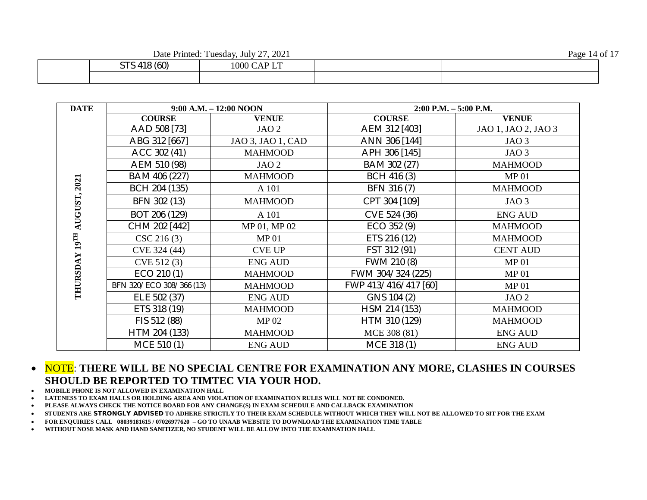Date Printed: Tuesday, July 27, 2021 Page 14 of 17

| .                                                         |             |  |
|-----------------------------------------------------------|-------------|--|
| 118 (60)<br>$\Lambda$ 1 $\Omega$<br>$\sim$ $\sim$<br>1341 | 1000 CAP LT |  |
|                                                           |             |  |

| <b>DATE</b> | $9:00$ A.M. $-12:00$ NOON |                   | $2:00$ P.M. $-5:00$ P.M. |                     |  |
|-------------|---------------------------|-------------------|--------------------------|---------------------|--|
|             | <b>COURSE</b>             | <b>VENUE</b>      | <b>COURSE</b>            | <b>VENUE</b>        |  |
|             | AAD 508 [73]              | JAO <sub>2</sub>  | AEM 312 [403]            | JAO 1, JAO 2, JAO 3 |  |
|             | ABG 312 [667]             | JAO 3, JAO 1, CAD | ANN 306 [144]            | JAO <sub>3</sub>    |  |
|             | ACC 302 (41)              | <b>MAHMOOD</b>    | APH 306 [145]            | JAO <sub>3</sub>    |  |
|             | AEM 510 (98)              | JAO <sub>2</sub>  | BAM 302 (27)             | <b>MAHMOOD</b>      |  |
|             | BAM 406 (227)             | <b>MAHMOOD</b>    | BCH 416 (3)              | MP <sub>01</sub>    |  |
| 2021        | BCH 204 (135)             | A 101             | BFN 316 (7)              | <b>MAHMOOD</b>      |  |
| AUGUST,     | BFN 302 (13)              | <b>MAHMOOD</b>    | CPT 304 [109]            | JAO <sub>3</sub>    |  |
|             | BOT 206 (129)             | A 101             | CVE 524 (36)             | <b>ENG AUD</b>      |  |
|             | CHM 202 [442]             | MP 01, MP 02      | ECO 352 (9)              | <b>MAHMOOD</b>      |  |
| $19^{TH}$   | CSC 216(3)                | MP <sub>01</sub>  | ETS 216 (12)             | <b>MAHMOOD</b>      |  |
|             | CVE 324 (44)              | <b>CVE UP</b>     | FST 312 (91)             | <b>CENT AUD</b>     |  |
| THURSDAY    | CVE 512 (3)               | <b>ENG AUD</b>    | FWM 210 (8)              | MP <sub>01</sub>    |  |
|             | ECO 210 (1)               | <b>MAHMOOD</b>    | FWM 304/324 (225)        | <b>MP 01</b>        |  |
|             | BFN 320/ECO 308/366 (13)  | <b>MAHMOOD</b>    | FWP 413/416/417 [60]     | <b>MP 01</b>        |  |
|             | ELE 502 (37)              | <b>ENG AUD</b>    | GNS 104 (2)              | JAO <sub>2</sub>    |  |
|             | ETS 318 (19)              | <b>MAHMOOD</b>    | HSM 214 (153)            | <b>MAHMOOD</b>      |  |
|             | FIS 512 (88)              | MP <sub>02</sub>  | HTM 310 (129)            | <b>MAHMOOD</b>      |  |
|             | HTM 204 (133)             | <b>MAHMOOD</b>    | MCE 308 (81)             | <b>ENG AUD</b>      |  |
|             | MCE 510 (1)               | <b>ENG AUD</b>    | MCE 318 (1)              | <b>ENG AUD</b>      |  |

**MOBILE PHONE IS NOT ALLOWED IN EXAMINATION HALL**

**LATENESS TO EXAM HALLS OR HOLDING AREA AND VIOLATION OF EXAMINATION RULES WILL NOT BE CONDONED.**

**PLEASE ALWAYS CHECK THE NOTICE BOARD FOR ANY CHANGE(S) IN EXAM SCHEDULE AND CALLBACK EXAMINATION**

**STUDENTS ARE STRONGLY ADVISED TO ADHERE STRICTLY TO THEIR EXAM SCHEDULE WITHOUT WHICH THEY WILL NOT BE ALLOWED TO SIT FOR THE EXAM**

**FOR ENQUIRIES CALL 08039181615 / 07026977620 – GO TO UNAAB WEBSITE TO DOWNLOAD THE EXAMINATION TIME TABLE**

**WITHOUT NOSE MASK AND HAND SANITIZER, NO STUDENT WILL BE ALLOW INTO THE EXAMNATION HALL**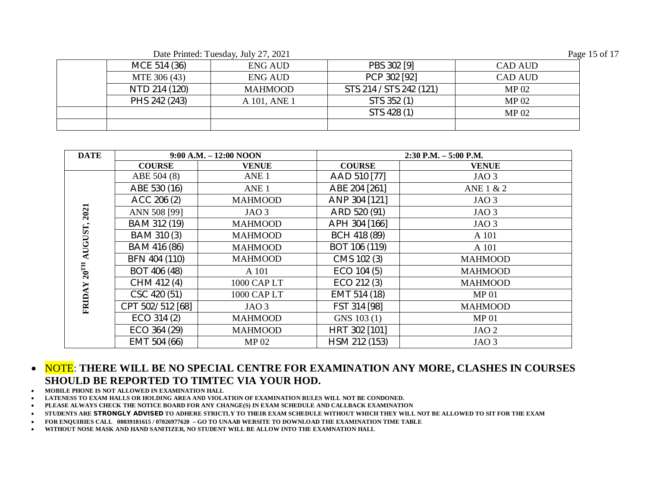Date Printed: Tuesday, July 27, 2021

| Page 15 of 17 |  |  |
|---------------|--|--|
|               |  |  |

| MCE 514 (36)  | ENG AUD        | PBS 302 [9]             | CAD AUD        |
|---------------|----------------|-------------------------|----------------|
| MTE 306 (43)  | ENG AUD        | PCP 302 [92]            | <b>CAD AUD</b> |
| NTD 214 (120) | <b>MAHMOOD</b> | STS 214 / STS 242 (121) | <b>MP 02</b>   |
| PHS 242 (243) | A 101, ANE 1   | STS 352 (1)             | <b>MP 02</b>   |
|               |                | STS 428 (1)             | MP 02          |
|               |                |                         |                |

| <b>DATE</b>        |                  | $9:00$ A.M. $-12:00$ NOON |               | $2:30$ P.M. $-5:00$ P.M. |
|--------------------|------------------|---------------------------|---------------|--------------------------|
|                    | <b>COURSE</b>    | <b>VENUE</b>              | <b>COURSE</b> | <b>VENUE</b>             |
|                    | ABE 504 (8)      | ANE <sub>1</sub>          | AAD 510 [77]  | JAO <sub>3</sub>         |
|                    | ABE 530 (16)     | ANE <sub>1</sub>          | ABE 204 [261] | ANE 1 & 2                |
|                    | ACC 206 (2)      | <b>MAHMOOD</b>            | ANP 304 [121] | JAO <sub>3</sub>         |
| 2021               | ANN 508 [99]     | JAO <sub>3</sub>          | ARD 520 (91)  | JAO <sub>3</sub>         |
|                    | BAM 312 (19)     | <b>MAHMOOD</b>            | APH 304 [166] | JAO <sub>3</sub>         |
| <b>LSN-50</b>      | BAM 310 (3)      | <b>MAHMOOD</b>            | BCH 418 (89)  | A 101                    |
|                    | BAM 416 (86)     | <b>MAHMOOD</b>            | BOT 106 (119) | A 101                    |
|                    | BFN 404 (110)    | <b>MAHMOOD</b>            | CMS 102 (3)   | <b>MAHMOOD</b>           |
| $20^{\mathrm{TH}}$ | BOT 406 (48)     | A 101                     | ECO 104 (5)   | <b>MAHMOOD</b>           |
|                    | CHM 412 (4)      | 1000 CAP LT               | ECO 212 (3)   | <b>MAHMOOD</b>           |
|                    | CSC 420 (51)     | 1000 CAP LT               | EMT 514 (18)  | <b>MP01</b>              |
| FRIDA              | CPT 502/512 [68] | JAO <sub>3</sub>          | FST 314 [98]  | <b>MAHMOOD</b>           |
|                    | $ECO$ 314 $(2)$  | <b>MAHMOOD</b>            | GNS 103 (1)   | <b>MP01</b>              |
|                    | ECO 364 (29)     | <b>MAHMOOD</b>            | HRT 302 [101] | JAO <sub>2</sub>         |
|                    | EMT 504 (66)     | MP <sub>02</sub>          | HSM 212 (153) | JAO <sub>3</sub>         |

- **MOBILE PHONE IS NOT ALLOWED IN EXAMINATION HALL**
- **LATENESS TO EXAM HALLS OR HOLDING AREA AND VIOLATION OF EXAMINATION RULES WILL NOT BE CONDONED.**
- **PLEASE ALWAYS CHECK THE NOTICE BOARD FOR ANY CHANGE(S) IN EXAM SCHEDULE AND CALLBACK EXAMINATION**
- **STUDENTS ARE STRONGLY ADVISED TO ADHERE STRICTLY TO THEIR EXAM SCHEDULE WITHOUT WHICH THEY WILL NOT BE ALLOWED TO SIT FOR THE EXAM**
- **FOR ENQUIRIES CALL 08039181615 / 07026977620 – GO TO UNAAB WEBSITE TO DOWNLOAD THE EXAMINATION TIME TABLE**
- **WITHOUT NOSE MASK AND HAND SANITIZER, NO STUDENT WILL BE ALLOW INTO THE EXAMNATION HALL**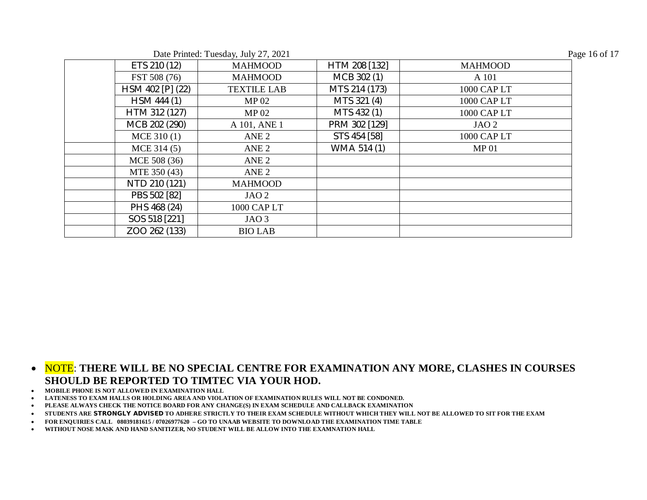| Date Printed: Tuesday, July 27, 2021 | Page 16 of 17 |
|--------------------------------------|---------------|
|                                      |               |

| ETS 210 (12)     | <b>MAHMOOD</b>     | HTM 208 [132] | <b>MAHMOOD</b>   |
|------------------|--------------------|---------------|------------------|
| FST 508 (76)     | <b>MAHMOOD</b>     | MCB 302 (1)   | A 101            |
| HSM 402 [P] (22) | <b>TEXTILE LAB</b> | MTS 214 (173) | 1000 CAP LT      |
| HSM 444 (1)      | MP <sub>02</sub>   | MTS 321 (4)   | 1000 CAP LT      |
| HTM 312 (127)    | MP <sub>02</sub>   | MTS 432 (1)   | 1000 CAP LT      |
| MCB 202 (290)    | A 101, ANE 1       | PRM 302 [129] | JAO <sub>2</sub> |
| $MCE$ 310 (1)    | ANE <sub>2</sub>   | STS 454 [58]  | 1000 CAP LT      |
| MCE 314 (5)      | ANE <sub>2</sub>   | WMA 514 (1)   | MP <sub>01</sub> |
| MCE 508 (36)     | ANE <sub>2</sub>   |               |                  |
| MTE 350 (43)     | ANE <sub>2</sub>   |               |                  |
| NTD 210 (121)    | <b>MAHMOOD</b>     |               |                  |
| PBS 502 [82]     | JAO <sub>2</sub>   |               |                  |
| PHS 468 (24)     | 1000 CAP LT        |               |                  |
| SOS 518 [221]    | JAO <sub>3</sub>   |               |                  |
| ZOO 262 (133)    | <b>BIO LAB</b>     |               |                  |

- **MOBILE PHONE IS NOT ALLOWED IN EXAMINATION HALL**
- **LATENESS TO EXAM HALLS OR HOLDING AREA AND VIOLATION OF EXAMINATION RULES WILL NOT BE CONDONED.**
- **PLEASE ALWAYS CHECK THE NOTICE BOARD FOR ANY CHANGE(S) IN EXAM SCHEDULE AND CALLBACK EXAMINATION**
- **STUDENTS ARE STRONGLY ADVISED TO ADHERE STRICTLY TO THEIR EXAM SCHEDULE WITHOUT WHICH THEY WILL NOT BE ALLOWED TO SIT FOR THE EXAM**
- **FOR ENQUIRIES CALL 08039181615 / 07026977620 – GO TO UNAAB WEBSITE TO DOWNLOAD THE EXAMINATION TIME TABLE**
- **WITHOUT NOSE MASK AND HAND SANITIZER, NO STUDENT WILL BE ALLOW INTO THE EXAMNATION HALL**